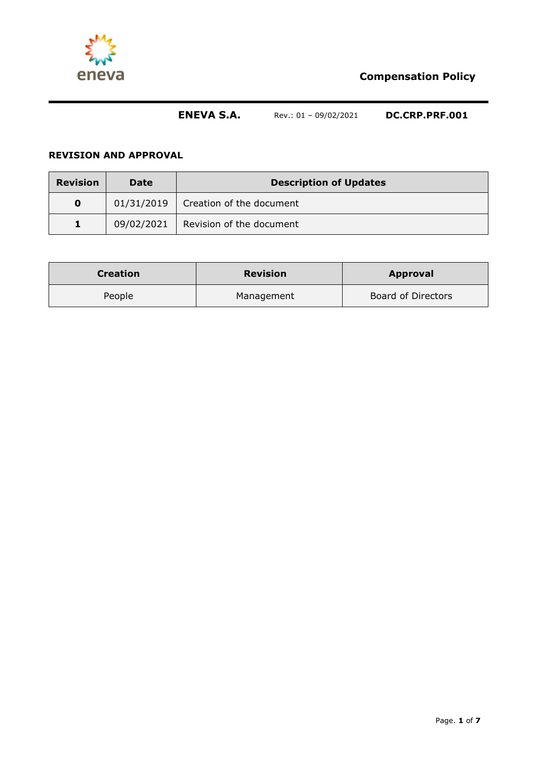

# **REVISION AND APPROVAL**

| <b>Revision</b> | <b>Date</b> | <b>Description of Updates</b> |
|-----------------|-------------|-------------------------------|
| O               | 01/31/2019  | Creation of the document      |
| 1.              | 09/02/2021  | Revision of the document      |

| <b>Creation</b> | <b>Revision</b> | <b>Approval</b>    |
|-----------------|-----------------|--------------------|
| People          | Management      | Board of Directors |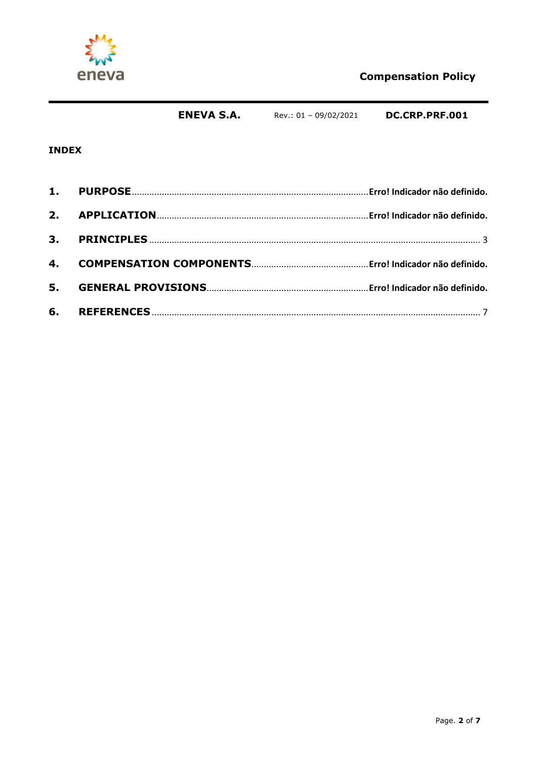

**ENEVA S.A.** DC.CRP.PRF.001 Rev.: 01 - 09/02/2021

#### **INDEX**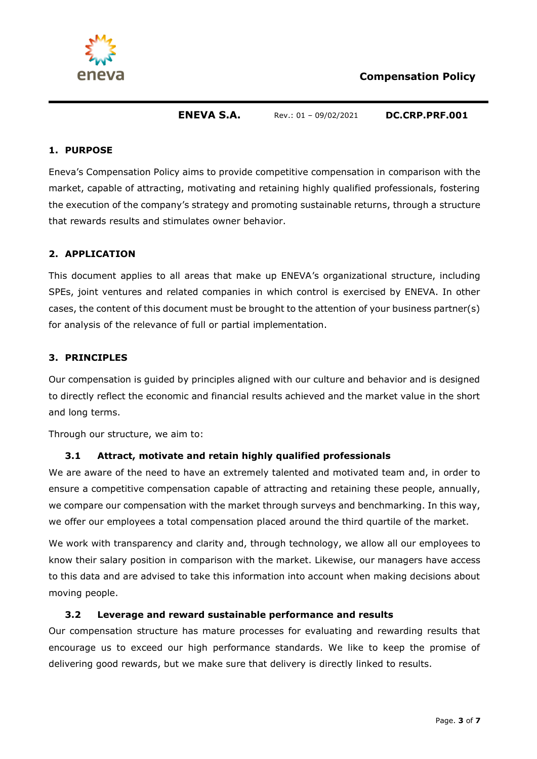

### **1. PURPOSE**

Eneva's Compensation Policy aims to provide competitive compensation in comparison with the market, capable of attracting, motivating and retaining highly qualified professionals, fostering the execution of the company's strategy and promoting sustainable returns, through a structure that rewards results and stimulates owner behavior.

# **2. APPLICATION**

This document applies to all areas that make up ENEVA's organizational structure, including SPEs, joint ventures and related companies in which control is exercised by ENEVA. In other cases, the content of this document must be brought to the attention of your business partner(s) for analysis of the relevance of full or partial implementation.

### <span id="page-2-0"></span>**3. PRINCIPLES**

Our compensation is guided by principles aligned with our culture and behavior and is designed to directly reflect the economic and financial results achieved and the market value in the short and long terms.

Through our structure, we aim to:

#### **3.1 Attract, motivate and retain highly qualified professionals**

We are aware of the need to have an extremely talented and motivated team and, in order to ensure a competitive compensation capable of attracting and retaining these people, annually, we compare our compensation with the market through surveys and benchmarking. In this way, we offer our employees a total compensation placed around the third quartile of the market.

We work with transparency and clarity and, through technology, we allow all our employees to know their salary position in comparison with the market. Likewise, our managers have access to this data and are advised to take this information into account when making decisions about moving people.

#### **3.2 Leverage and reward sustainable performance and results**

Our compensation structure has mature processes for evaluating and rewarding results that encourage us to exceed our high performance standards. We like to keep the promise of delivering good rewards, but we make sure that delivery is directly linked to results.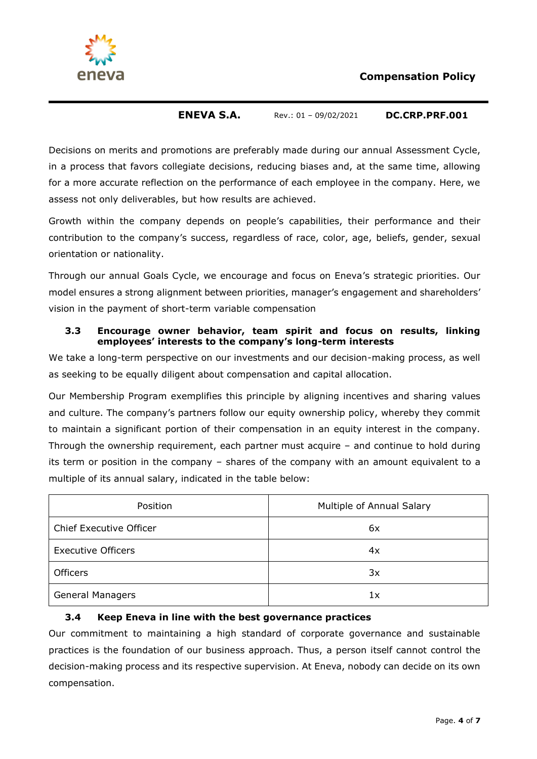

Decisions on merits and promotions are preferably made during our annual Assessment Cycle, in a process that favors collegiate decisions, reducing biases and, at the same time, allowing for a more accurate reflection on the performance of each employee in the company. Here, we assess not only deliverables, but how results are achieved.

Growth within the company depends on people's capabilities, their performance and their contribution to the company's success, regardless of race, color, age, beliefs, gender, sexual orientation or nationality.

Through our annual Goals Cycle, we encourage and focus on Eneva's strategic priorities. Our model ensures a strong alignment between priorities, manager's engagement and shareholders' vision in the payment of short-term variable compensation

#### **3.3 Encourage owner behavior, team spirit and focus on results, linking employees' interests to the company's long-term interests**

We take a long-term perspective on our investments and our decision-making process, as well as seeking to be equally diligent about compensation and capital allocation.

Our Membership Program exemplifies this principle by aligning incentives and sharing values and culture. The company's partners follow our equity ownership policy, whereby they commit to maintain a significant portion of their compensation in an equity interest in the company. Through the ownership requirement, each partner must acquire – and continue to hold during its term or position in the company – shares of the company with an amount equivalent to a multiple of its annual salary, indicated in the table below:

| <b>Position</b>           | Multiple of Annual Salary |
|---------------------------|---------------------------|
| Chief Executive Officer   | 6x                        |
| <b>Executive Officers</b> | 4x                        |
| <b>Officers</b>           | 3x                        |
| <b>General Managers</b>   | 1x                        |

#### **3.4 Keep Eneva in line with the best governance practices**

Our commitment to maintaining a high standard of corporate governance and sustainable practices is the foundation of our business approach. Thus, a person itself cannot control the decision-making process and its respective supervision. At Eneva, nobody can decide on its own compensation.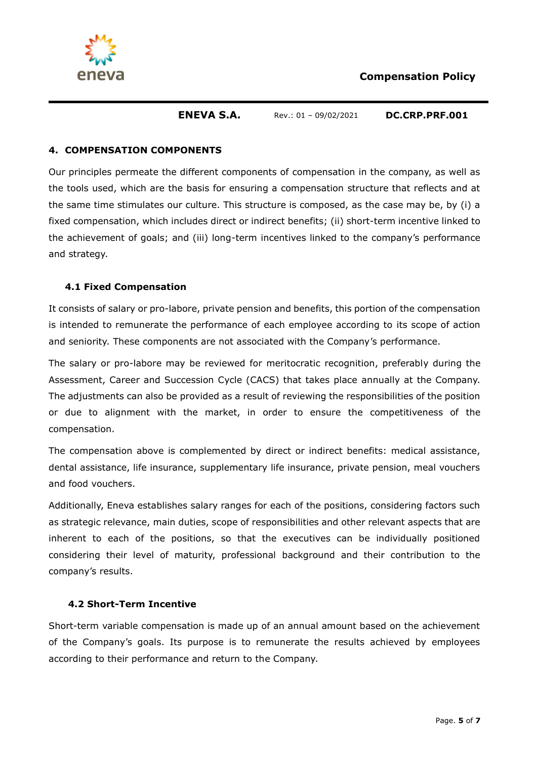

#### **4. COMPENSATION COMPONENTS**

Our principles permeate the different components of compensation in the company, as well as the tools used, which are the basis for ensuring a compensation structure that reflects and at the same time stimulates our culture. This structure is composed, as the case may be, by (i) a fixed compensation, which includes direct or indirect benefits; (ii) short-term incentive linked to the achievement of goals; and (iii) long-term incentives linked to the company's performance and strategy.

#### **4.1 Fixed Compensation**

It consists of salary or pro-labore, private pension and benefits, this portion of the compensation is intended to remunerate the performance of each employee according to its scope of action and seniority. These components are not associated with the Company's performance.

The salary or pro-labore may be reviewed for meritocratic recognition, preferably during the Assessment, Career and Succession Cycle (CACS) that takes place annually at the Company. The adjustments can also be provided as a result of reviewing the responsibilities of the position or due to alignment with the market, in order to ensure the competitiveness of the compensation.

The compensation above is complemented by direct or indirect benefits: medical assistance, dental assistance, life insurance, supplementary life insurance, private pension, meal vouchers and food vouchers.

Additionally, Eneva establishes salary ranges for each of the positions, considering factors such as strategic relevance, main duties, scope of responsibilities and other relevant aspects that are inherent to each of the positions, so that the executives can be individually positioned considering their level of maturity, professional background and their contribution to the company's results.

#### **4.2 Short-Term Incentive**

Short-term variable compensation is made up of an annual amount based on the achievement of the Company's goals. Its purpose is to remunerate the results achieved by employees according to their performance and return to the Company.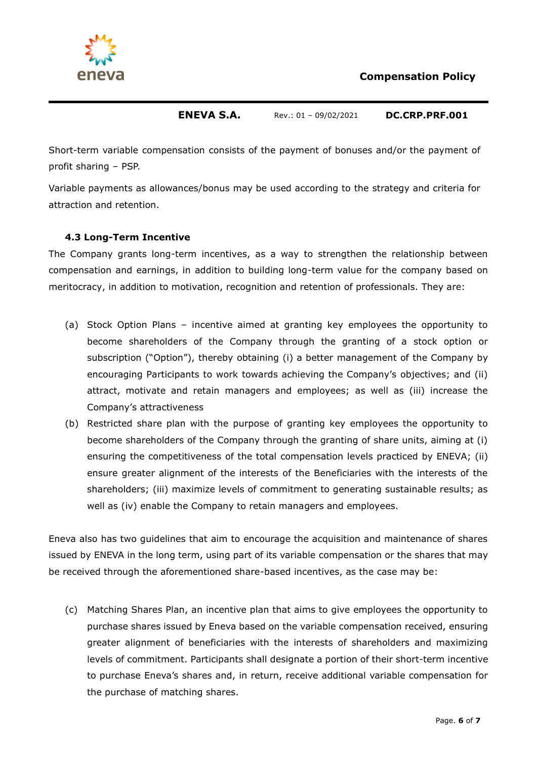

Short-term variable compensation consists of the payment of bonuses and/or the payment of profit sharing – PSP.

Variable payments as allowances/bonus may be used according to the strategy and criteria for attraction and retention.

### **4.3 Long-Term Incentive**

The Company grants long-term incentives, as a way to strengthen the relationship between compensation and earnings, in addition to building long-term value for the company based on meritocracy, in addition to motivation, recognition and retention of professionals. They are:

- (a) Stock Option Plans incentive aimed at granting key employees the opportunity to become shareholders of the Company through the granting of a stock option or subscription ("Option"), thereby obtaining (i) a better management of the Company by encouraging Participants to work towards achieving the Company's objectives; and (ii) attract, motivate and retain managers and employees; as well as (iii) increase the Company's attractiveness
- (b) Restricted share plan with the purpose of granting key employees the opportunity to become shareholders of the Company through the granting of share units, aiming at (i) ensuring the competitiveness of the total compensation levels practiced by ENEVA; (ii) ensure greater alignment of the interests of the Beneficiaries with the interests of the shareholders; (iii) maximize levels of commitment to generating sustainable results; as well as (iv) enable the Company to retain managers and employees.

Eneva also has two guidelines that aim to encourage the acquisition and maintenance of shares issued by ENEVA in the long term, using part of its variable compensation or the shares that may be received through the aforementioned share-based incentives, as the case may be:

(c) Matching Shares Plan, an incentive plan that aims to give employees the opportunity to purchase shares issued by Eneva based on the variable compensation received, ensuring greater alignment of beneficiaries with the interests of shareholders and maximizing levels of commitment. Participants shall designate a portion of their short-term incentive to purchase Eneva's shares and, in return, receive additional variable compensation for the purchase of matching shares.